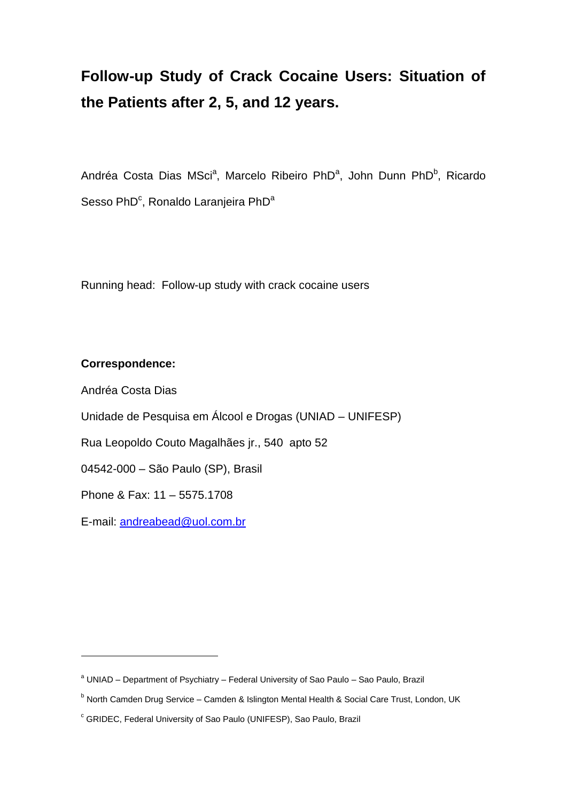# **Follow-up Study of Crack Cocaine Users: Situation of the Patients after 2, 5, and 12 years.**

Andréa Costa Dias MSci<sup>a</sup>, Marcelo Ribeiro PhD<sup>a</sup>, John Dunn PhD<sup>b</sup>, Ricardo Sesso PhD<sup>c</sup>, Ronaldo Laranjeira PhD<sup>a</sup>

Running head: Follow-up study with crack cocaine users

# **Correspondence:**

Andréa Costa Dias

1

Unidade de Pesquisa em Álcool e Drogas (UNIAD – UNIFESP)

Rua Leopoldo Couto Magalhães jr., 540 apto 52

04542-000 – São Paulo (SP), Brasil

Phone & Fax: 11 – 5575.1708

E-mail: [andreabead@uol.com.br](mailto:andreabead@uol.com.br)

<sup>&</sup>lt;sup>a</sup> UNIAD – Department of Psychiatry – Federal University of Sao Paulo – Sao Paulo, Brazil

<sup>&</sup>lt;sup>b</sup> North Camden Drug Service – Camden & Islington Mental Health & Social Care Trust, London, UK

<sup>c</sup> GRIDEC, Federal University of Sao Paulo (UNIFESP), Sao Paulo, Brazil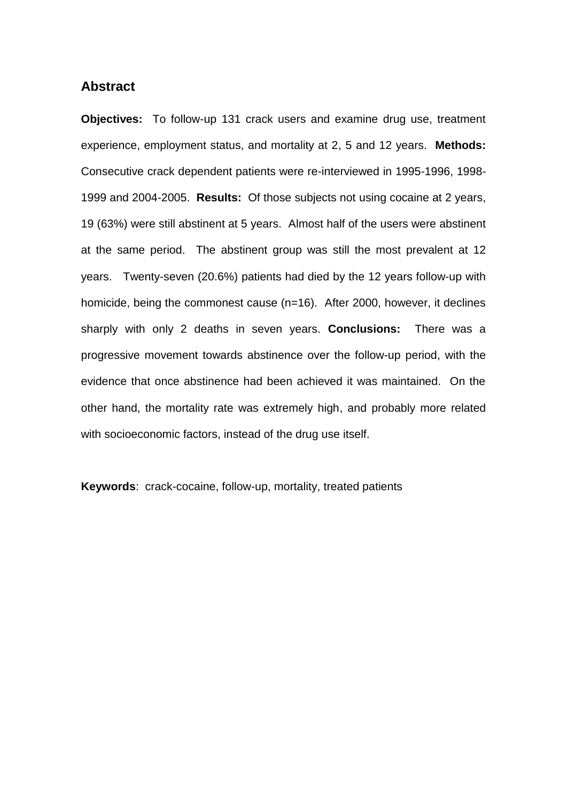# **Abstract**

**Objectives:** To follow-up 131 crack users and examine drug use, treatment experience, employment status, and mortality at 2, 5 and 12 years. **Methods:**  Consecutive crack dependent patients were re-interviewed in 1995-1996, 1998- 1999 and 2004-2005. **Results:** Of those subjects not using cocaine at 2 years, 19 (63%) were still abstinent at 5 years. Almost half of the users were abstinent at the same period. The abstinent group was still the most prevalent at 12 years. Twenty-seven (20.6%) patients had died by the 12 years follow-up with homicide, being the commonest cause (n=16). After 2000, however, it declines sharply with only 2 deaths in seven years. **Conclusions:** There was a progressive movement towards abstinence over the follow-up period, with the evidence that once abstinence had been achieved it was maintained. On the other hand, the mortality rate was extremely high, and probably more related with socioeconomic factors, instead of the drug use itself.

**Keywords**: crack-cocaine, follow-up, mortality, treated patients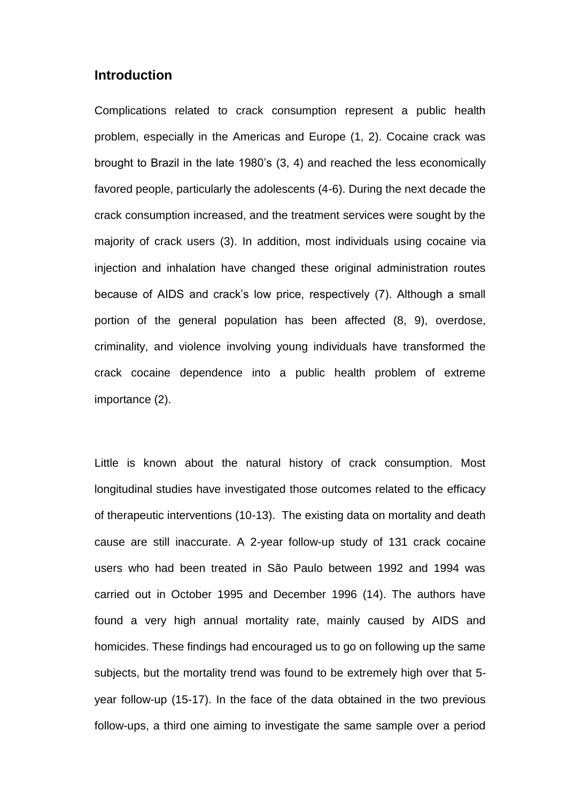# **Introduction**

Complications related to crack consumption represent a public health problem, especially in the Americas and Europe (1, 2). Cocaine crack was brought to Brazil in the late 1980's (3, 4) and reached the less economically favored people, particularly the adolescents (4-6). During the next decade the crack consumption increased, and the treatment services were sought by the majority of crack users (3). In addition, most individuals using cocaine via injection and inhalation have changed these original administration routes because of AIDS and crack's low price, respectively (7). Although a small portion of the general population has been affected (8, 9), overdose, criminality, and violence involving young individuals have transformed the crack cocaine dependence into a public health problem of extreme importance (2).

Little is known about the natural history of crack consumption. Most longitudinal studies have investigated those outcomes related to the efficacy of therapeutic interventions (10-13). The existing data on mortality and death cause are still inaccurate. A 2-year follow-up study of 131 crack cocaine users who had been treated in São Paulo between 1992 and 1994 was carried out in October 1995 and December 1996 (14). The authors have found a very high annual mortality rate, mainly caused by AIDS and homicides. These findings had encouraged us to go on following up the same subjects, but the mortality trend was found to be extremely high over that 5 year follow-up (15-17). In the face of the data obtained in the two previous follow-ups, a third one aiming to investigate the same sample over a period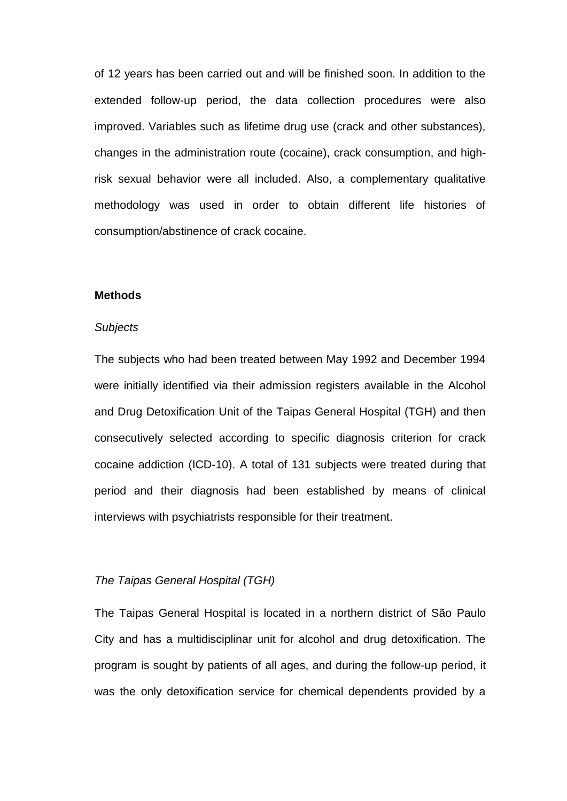of 12 years has been carried out and will be finished soon. In addition to the extended follow-up period, the data collection procedures were also improved. Variables such as lifetime drug use (crack and other substances), changes in the administration route (cocaine), crack consumption, and highrisk sexual behavior were all included. Also, a complementary qualitative methodology was used in order to obtain different life histories of consumption/abstinence of crack cocaine.

#### **Methods**

#### *Subjects*

The subjects who had been treated between May 1992 and December 1994 were initially identified via their admission registers available in the Alcohol and Drug Detoxification Unit of the Taipas General Hospital (TGH) and then consecutively selected according to specific diagnosis criterion for crack cocaine addiction (ICD-10). A total of 131 subjects were treated during that period and their diagnosis had been established by means of clinical interviews with psychiatrists responsible for their treatment.

# *The Taipas General Hospital (TGH)*

The Taipas General Hospital is located in a northern district of São Paulo City and has a multidisciplinar unit for alcohol and drug detoxification. The program is sought by patients of all ages, and during the follow-up period, it was the only detoxification service for chemical dependents provided by a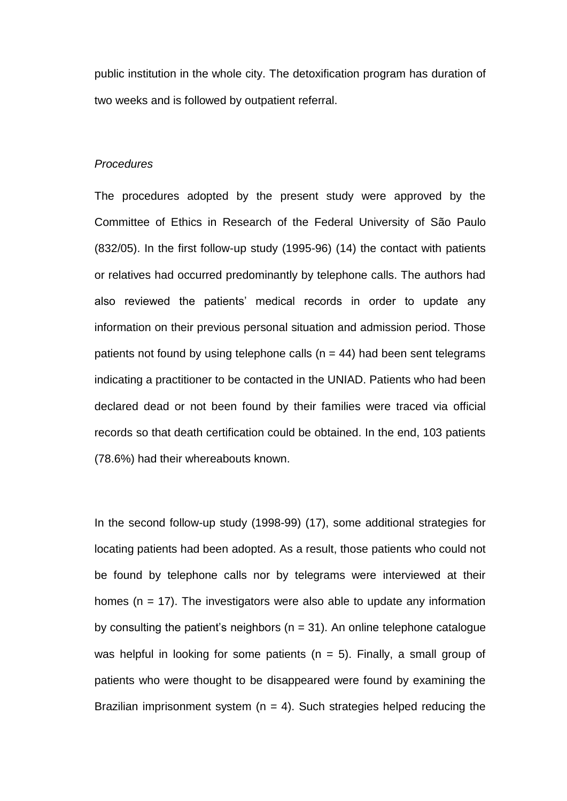public institution in the whole city. The detoxification program has duration of two weeks and is followed by outpatient referral.

## *Procedures*

The procedures adopted by the present study were approved by the Committee of Ethics in Research of the Federal University of São Paulo (832/05). In the first follow-up study (1995-96) (14) the contact with patients or relatives had occurred predominantly by telephone calls. The authors had also reviewed the patients' medical records in order to update any information on their previous personal situation and admission period. Those patients not found by using telephone calls ( $n = 44$ ) had been sent telegrams indicating a practitioner to be contacted in the UNIAD. Patients who had been declared dead or not been found by their families were traced via official records so that death certification could be obtained. In the end, 103 patients (78.6%) had their whereabouts known.

In the second follow-up study (1998-99) (17), some additional strategies for locating patients had been adopted. As a result, those patients who could not be found by telephone calls nor by telegrams were interviewed at their homes ( $n = 17$ ). The investigators were also able to update any information by consulting the patient's neighbors ( $n = 31$ ). An online telephone catalogue was helpful in looking for some patients ( $n = 5$ ). Finally, a small group of patients who were thought to be disappeared were found by examining the Brazilian imprisonment system ( $n = 4$ ). Such strategies helped reducing the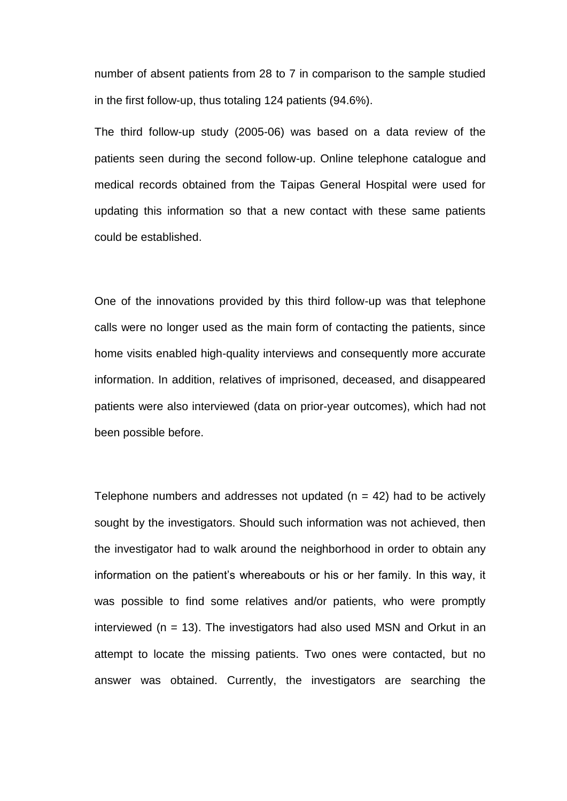number of absent patients from 28 to 7 in comparison to the sample studied in the first follow-up, thus totaling 124 patients (94.6%).

The third follow-up study (2005-06) was based on a data review of the patients seen during the second follow-up. Online telephone catalogue and medical records obtained from the Taipas General Hospital were used for updating this information so that a new contact with these same patients could be established.

One of the innovations provided by this third follow-up was that telephone calls were no longer used as the main form of contacting the patients, since home visits enabled high-quality interviews and consequently more accurate information. In addition, relatives of imprisoned, deceased, and disappeared patients were also interviewed (data on prior-year outcomes), which had not been possible before.

Telephone numbers and addresses not updated  $(n = 42)$  had to be actively sought by the investigators. Should such information was not achieved, then the investigator had to walk around the neighborhood in order to obtain any information on the patient's whereabouts or his or her family. In this way, it was possible to find some relatives and/or patients, who were promptly interviewed ( $n = 13$ ). The investigators had also used MSN and Orkut in an attempt to locate the missing patients. Two ones were contacted, but no answer was obtained. Currently, the investigators are searching the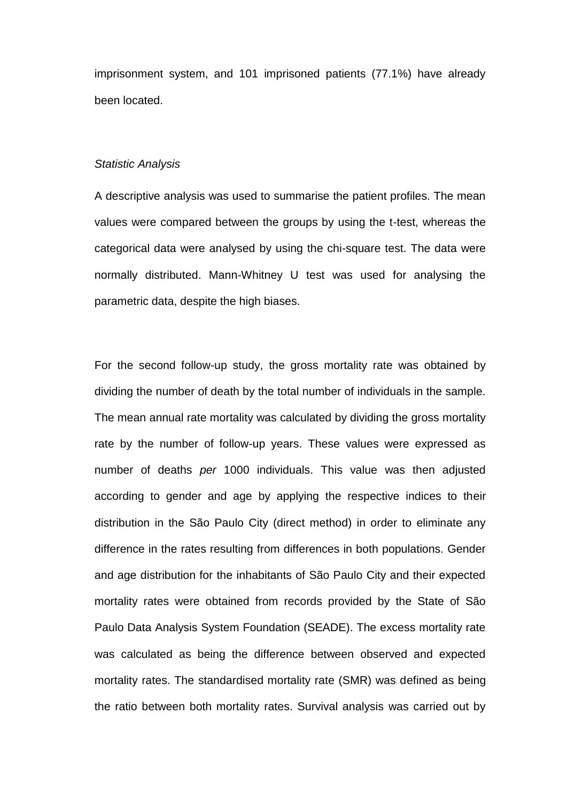imprisonment system, and 101 imprisoned patients (77.1%) have already been located.

## *Statistic Analysis*

A descriptive analysis was used to summarise the patient profiles. The mean values were compared between the groups by using the t-test, whereas the categorical data were analysed by using the chi-square test. The data were normally distributed. Mann-Whitney U test was used for analysing the parametric data, despite the high biases.

For the second follow-up study, the gross mortality rate was obtained by dividing the number of death by the total number of individuals in the sample. The mean annual rate mortality was calculated by dividing the gross mortality rate by the number of follow-up years. These values were expressed as number of deaths *per* 1000 individuals. This value was then adjusted according to gender and age by applying the respective indices to their distribution in the São Paulo City (direct method) in order to eliminate any difference in the rates resulting from differences in both populations. Gender and age distribution for the inhabitants of São Paulo City and their expected mortality rates were obtained from records provided by the State of São Paulo Data Analysis System Foundation (SEADE). The excess mortality rate was calculated as being the difference between observed and expected mortality rates. The standardised mortality rate (SMR) was defined as being the ratio between both mortality rates. Survival analysis was carried out by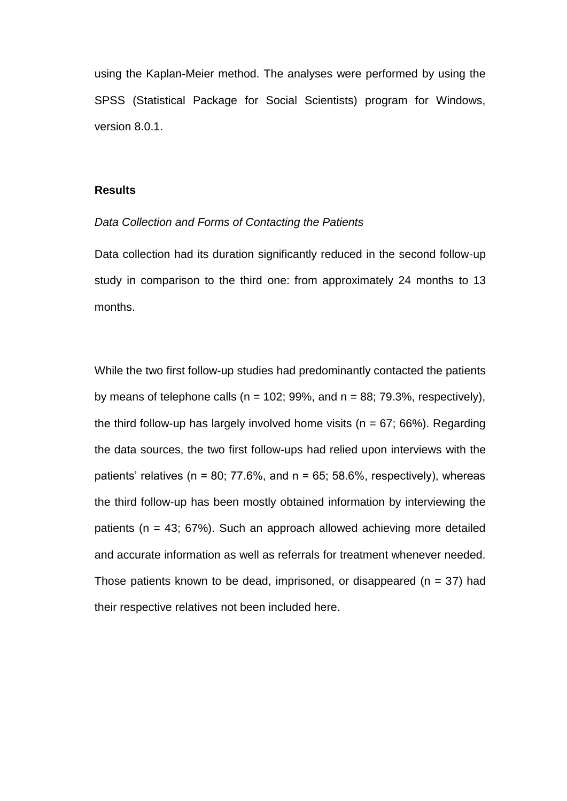using the Kaplan-Meier method. The analyses were performed by using the SPSS (Statistical Package for Social Scientists) program for Windows, version 8.0.1.

#### **Results**

#### *Data Collection and Forms of Contacting the Patients*

Data collection had its duration significantly reduced in the second follow-up study in comparison to the third one: from approximately 24 months to 13 months.

While the two first follow-up studies had predominantly contacted the patients by means of telephone calls ( $n = 102$ ; 99%, and  $n = 88$ ; 79.3%, respectively), the third follow-up has largely involved home visits ( $n = 67$ ; 66%). Regarding the data sources, the two first follow-ups had relied upon interviews with the patients' relatives ( $n = 80$ ; 77.6%, and  $n = 65$ ; 58.6%, respectively), whereas the third follow-up has been mostly obtained information by interviewing the patients (n = 43; 67%). Such an approach allowed achieving more detailed and accurate information as well as referrals for treatment whenever needed. Those patients known to be dead, imprisoned, or disappeared ( $n = 37$ ) had their respective relatives not been included here.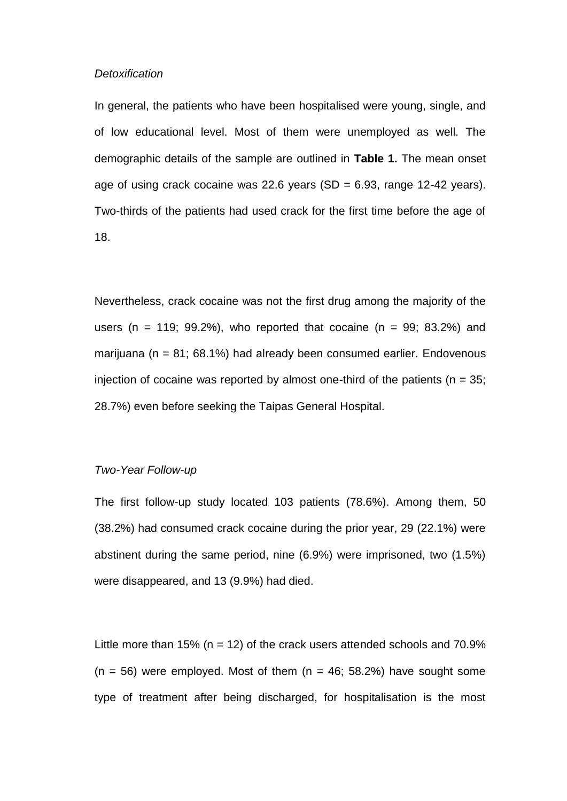#### *Detoxification*

In general, the patients who have been hospitalised were young, single, and of low educational level. Most of them were unemployed as well. The demographic details of the sample are outlined in **Table 1.** The mean onset age of using crack cocaine was 22.6 years  $(SD = 6.93,$  range 12-42 years). Two-thirds of the patients had used crack for the first time before the age of 18.

Nevertheless, crack cocaine was not the first drug among the majority of the users (n = 119; 99.2%), who reported that cocaine (n = 99; 83.2%) and marijuana ( $n = 81$ ; 68.1%) had already been consumed earlier. Endovenous injection of cocaine was reported by almost one-third of the patients ( $n = 35$ ; 28.7%) even before seeking the Taipas General Hospital.

# *Two-Year Follow-up*

The first follow-up study located 103 patients (78.6%). Among them, 50 (38.2%) had consumed crack cocaine during the prior year, 29 (22.1%) were abstinent during the same period, nine (6.9%) were imprisoned, two (1.5%) were disappeared, and 13 (9.9%) had died.

Little more than 15% ( $n = 12$ ) of the crack users attended schools and 70.9%  $(n = 56)$  were employed. Most of them  $(n = 46; 58.2%)$  have sought some type of treatment after being discharged, for hospitalisation is the most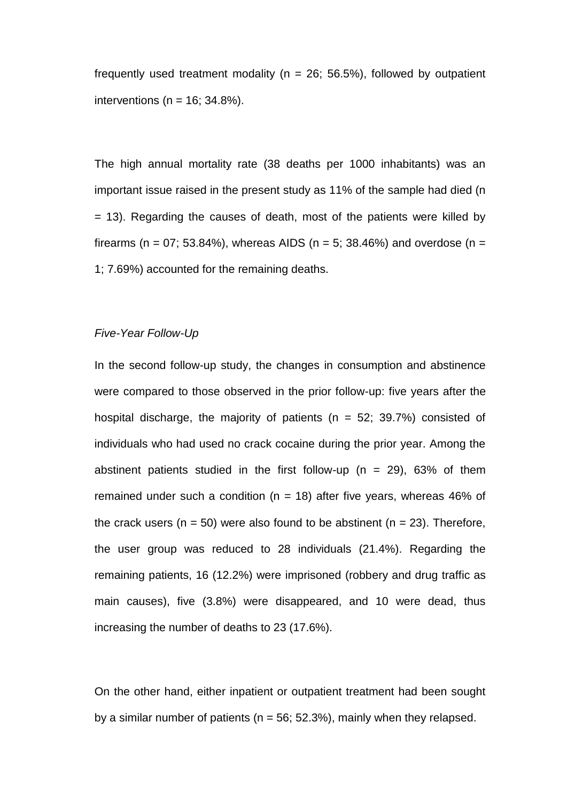frequently used treatment modality ( $n = 26$ ; 56.5%), followed by outpatient interventions ( $n = 16$ ; 34.8%).

The high annual mortality rate (38 deaths per 1000 inhabitants) was an important issue raised in the present study as 11% of the sample had died (n = 13). Regarding the causes of death, most of the patients were killed by firearms (n = 07; 53.84%), whereas AIDS (n = 5; 38.46%) and overdose (n = 1; 7.69%) accounted for the remaining deaths.

# *Five-Year Follow-Up*

In the second follow-up study, the changes in consumption and abstinence were compared to those observed in the prior follow-up: five years after the hospital discharge, the majority of patients ( $n = 52$ ; 39.7%) consisted of individuals who had used no crack cocaine during the prior year. Among the abstinent patients studied in the first follow-up ( $n = 29$ ), 63% of them remained under such a condition ( $n = 18$ ) after five years, whereas 46% of the crack users ( $n = 50$ ) were also found to be abstinent ( $n = 23$ ). Therefore, the user group was reduced to 28 individuals (21.4%). Regarding the remaining patients, 16 (12.2%) were imprisoned (robbery and drug traffic as main causes), five (3.8%) were disappeared, and 10 were dead, thus increasing the number of deaths to 23 (17.6%).

On the other hand, either inpatient or outpatient treatment had been sought by a similar number of patients ( $n = 56$ ; 52.3%), mainly when they relapsed.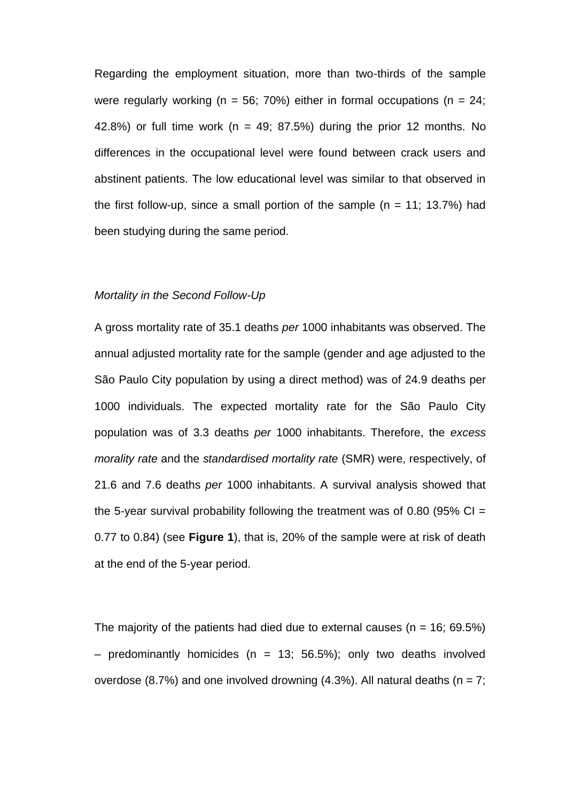Regarding the employment situation, more than two-thirds of the sample were regularly working ( $n = 56$ ; 70%) either in formal occupations ( $n = 24$ ; 42.8%) or full time work ( $n = 49$ ; 87.5%) during the prior 12 months. No differences in the occupational level were found between crack users and abstinent patients. The low educational level was similar to that observed in the first follow-up, since a small portion of the sample  $(n = 11; 13.7%)$  had been studying during the same period.

#### *Mortality in the Second Follow-Up*

A gross mortality rate of 35.1 deaths *per* 1000 inhabitants was observed. The annual adjusted mortality rate for the sample (gender and age adjusted to the São Paulo City population by using a direct method) was of 24.9 deaths per 1000 individuals. The expected mortality rate for the São Paulo City population was of 3.3 deaths *per* 1000 inhabitants. Therefore, the *excess morality rate* and the *standardised mortality rate* (SMR) were, respectively, of 21.6 and 7.6 deaths *per* 1000 inhabitants. A survival analysis showed that the 5-year survival probability following the treatment was of 0.80 (95%  $Cl =$ 0.77 to 0.84) (see **Figure 1**), that is, 20% of the sample were at risk of death at the end of the 5-year period.

The majority of the patients had died due to external causes ( $n = 16$ ; 69.5%) – predominantly homicides (n = 13; 56.5%); only two deaths involved overdose (8.7%) and one involved drowning (4.3%). All natural deaths ( $n = 7$ ;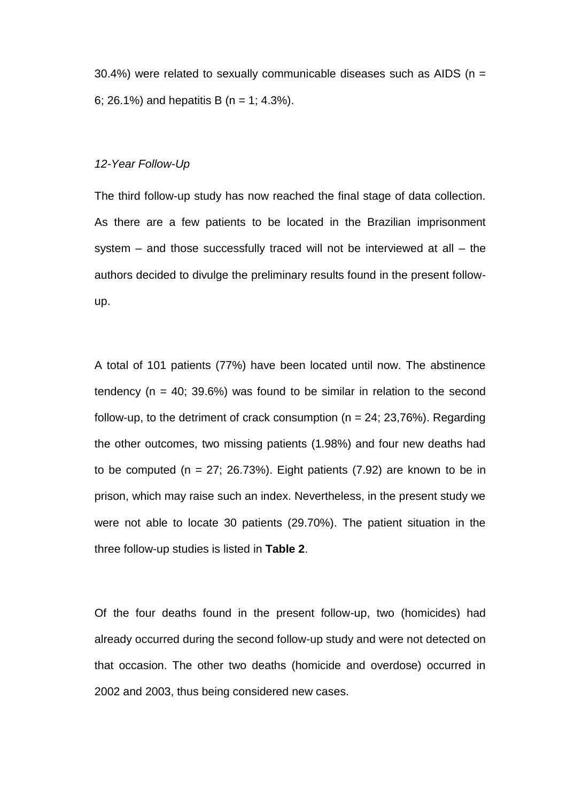30.4%) were related to sexually communicable diseases such as AIDS ( $n =$ 6; 26.1%) and hepatitis B (n = 1; 4.3%).

# *12-Year Follow-Up*

The third follow-up study has now reached the final stage of data collection. As there are a few patients to be located in the Brazilian imprisonment system – and those successfully traced will not be interviewed at all – the authors decided to divulge the preliminary results found in the present followup.

A total of 101 patients (77%) have been located until now. The abstinence tendency ( $n = 40$ ; 39.6%) was found to be similar in relation to the second follow-up, to the detriment of crack consumption ( $n = 24$ ; 23,76%). Regarding the other outcomes, two missing patients (1.98%) and four new deaths had to be computed ( $n = 27$ ; 26.73%). Eight patients (7.92) are known to be in prison, which may raise such an index. Nevertheless, in the present study we were not able to locate 30 patients (29.70%). The patient situation in the three follow-up studies is listed in **Table 2**.

Of the four deaths found in the present follow-up, two (homicides) had already occurred during the second follow-up study and were not detected on that occasion. The other two deaths (homicide and overdose) occurred in 2002 and 2003, thus being considered new cases.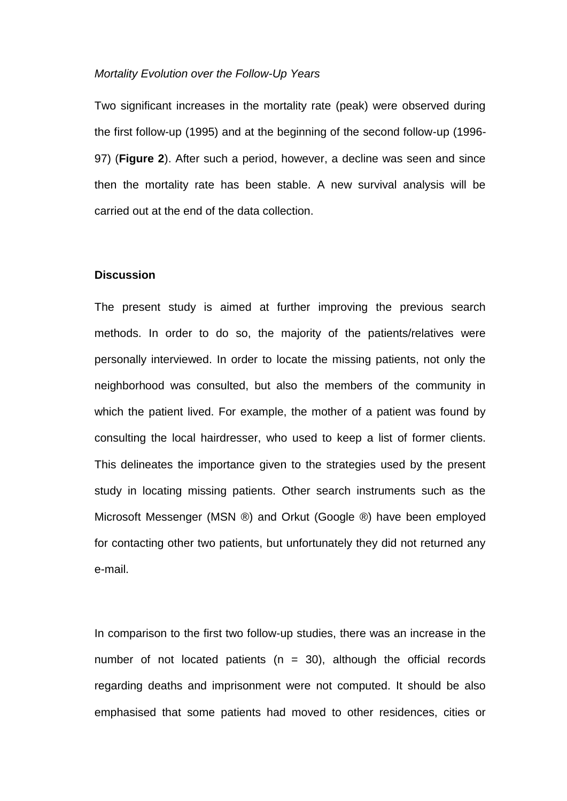## *Mortality Evolution over the Follow-Up Years*

Two significant increases in the mortality rate (peak) were observed during the first follow-up (1995) and at the beginning of the second follow-up (1996- 97) (**Figure 2**). After such a period, however, a decline was seen and since then the mortality rate has been stable. A new survival analysis will be carried out at the end of the data collection.

#### **Discussion**

The present study is aimed at further improving the previous search methods. In order to do so, the majority of the patients/relatives were personally interviewed. In order to locate the missing patients, not only the neighborhood was consulted, but also the members of the community in which the patient lived. For example, the mother of a patient was found by consulting the local hairdresser, who used to keep a list of former clients. This delineates the importance given to the strategies used by the present study in locating missing patients. Other search instruments such as the Microsoft Messenger (MSN ®) and Orkut (Google ®) have been employed for contacting other two patients, but unfortunately they did not returned any e-mail.

In comparison to the first two follow-up studies, there was an increase in the number of not located patients ( $n = 30$ ), although the official records regarding deaths and imprisonment were not computed. It should be also emphasised that some patients had moved to other residences, cities or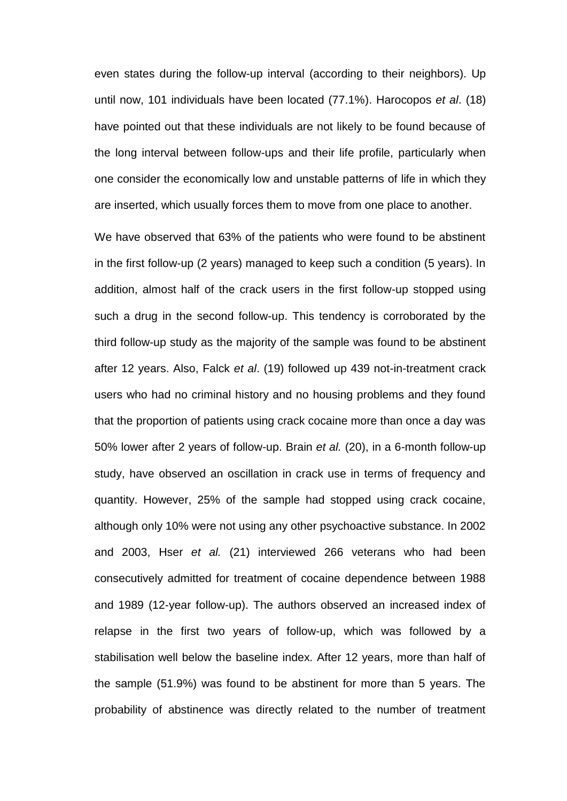even states during the follow-up interval (according to their neighbors). Up until now, 101 individuals have been located (77.1%). Harocopos *et al*. (18) have pointed out that these individuals are not likely to be found because of the long interval between follow-ups and their life profile, particularly when one consider the economically low and unstable patterns of life in which they are inserted, which usually forces them to move from one place to another.

We have observed that 63% of the patients who were found to be abstinent in the first follow-up (2 years) managed to keep such a condition (5 years). In addition, almost half of the crack users in the first follow-up stopped using such a drug in the second follow-up. This tendency is corroborated by the third follow-up study as the majority of the sample was found to be abstinent after 12 years. Also, Falck *et al*. (19) followed up 439 not-in-treatment crack users who had no criminal history and no housing problems and they found that the proportion of patients using crack cocaine more than once a day was 50% lower after 2 years of follow-up. Brain *et al.* (20), in a 6-month follow-up study, have observed an oscillation in crack use in terms of frequency and quantity. However, 25% of the sample had stopped using crack cocaine, although only 10% were not using any other psychoactive substance. In 2002 and 2003, Hser *et al.* (21) interviewed 266 veterans who had been consecutively admitted for treatment of cocaine dependence between 1988 and 1989 (12-year follow-up). The authors observed an increased index of relapse in the first two years of follow-up, which was followed by a stabilisation well below the baseline index. After 12 years, more than half of the sample (51.9%) was found to be abstinent for more than 5 years. The probability of abstinence was directly related to the number of treatment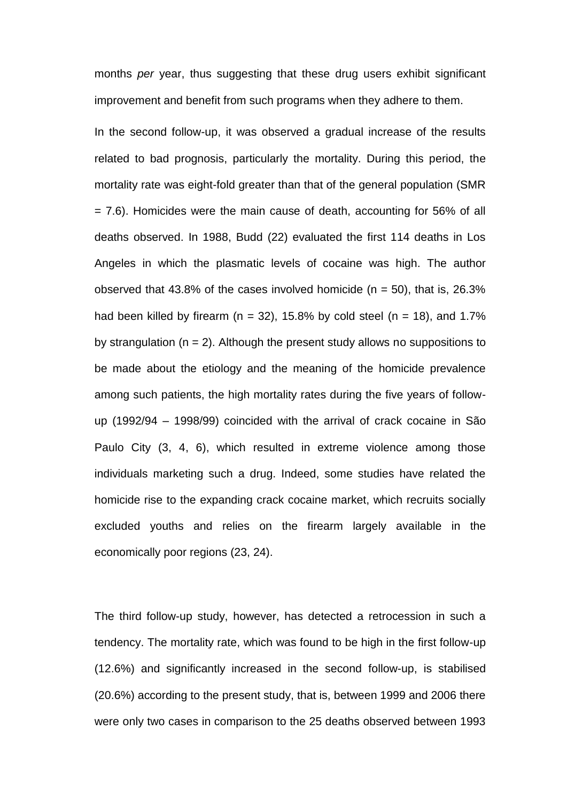months *per* year, thus suggesting that these drug users exhibit significant improvement and benefit from such programs when they adhere to them.

In the second follow-up, it was observed a gradual increase of the results related to bad prognosis, particularly the mortality. During this period, the mortality rate was eight-fold greater than that of the general population (SMR = 7.6). Homicides were the main cause of death, accounting for 56% of all deaths observed. In 1988, Budd (22) evaluated the first 114 deaths in Los Angeles in which the plasmatic levels of cocaine was high. The author observed that 43.8% of the cases involved homicide ( $n = 50$ ), that is, 26.3% had been killed by firearm ( $n = 32$ ), 15.8% by cold steel ( $n = 18$ ), and 1.7% by strangulation ( $n = 2$ ). Although the present study allows no suppositions to be made about the etiology and the meaning of the homicide prevalence among such patients, the high mortality rates during the five years of followup (1992/94 – 1998/99) coincided with the arrival of crack cocaine in São Paulo City (3, 4, 6), which resulted in extreme violence among those individuals marketing such a drug. Indeed, some studies have related the homicide rise to the expanding crack cocaine market, which recruits socially excluded youths and relies on the firearm largely available in the economically poor regions (23, 24).

The third follow-up study, however, has detected a retrocession in such a tendency. The mortality rate, which was found to be high in the first follow-up (12.6%) and significantly increased in the second follow-up, is stabilised (20.6%) according to the present study, that is, between 1999 and 2006 there were only two cases in comparison to the 25 deaths observed between 1993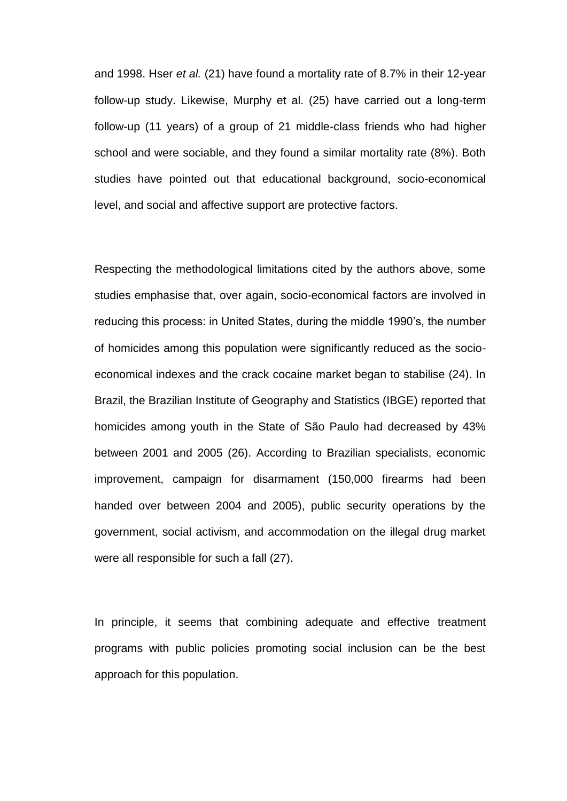and 1998. Hser *et al.* (21) have found a mortality rate of 8.7% in their 12-year follow-up study. Likewise, Murphy et al. (25) have carried out a long-term follow-up (11 years) of a group of 21 middle-class friends who had higher school and were sociable, and they found a similar mortality rate (8%). Both studies have pointed out that educational background, socio-economical level, and social and affective support are protective factors.

Respecting the methodological limitations cited by the authors above, some studies emphasise that, over again, socio-economical factors are involved in reducing this process: in United States, during the middle 1990's, the number of homicides among this population were significantly reduced as the socioeconomical indexes and the crack cocaine market began to stabilise (24). In Brazil, the Brazilian Institute of Geography and Statistics (IBGE) reported that homicides among youth in the State of São Paulo had decreased by 43% between 2001 and 2005 (26). According to Brazilian specialists, economic improvement, campaign for disarmament (150,000 firearms had been handed over between 2004 and 2005), public security operations by the government, social activism, and accommodation on the illegal drug market were all responsible for such a fall (27).

In principle, it seems that combining adequate and effective treatment programs with public policies promoting social inclusion can be the best approach for this population.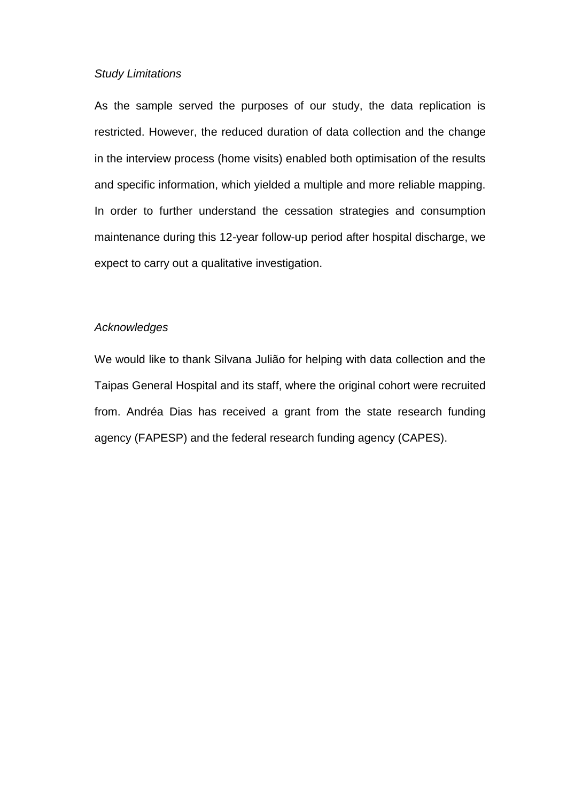# *Study Limitations*

As the sample served the purposes of our study, the data replication is restricted. However, the reduced duration of data collection and the change in the interview process (home visits) enabled both optimisation of the results and specific information, which yielded a multiple and more reliable mapping. In order to further understand the cessation strategies and consumption maintenance during this 12-year follow-up period after hospital discharge, we expect to carry out a qualitative investigation.

## *Acknowledges*

We would like to thank Silvana Julião for helping with data collection and the Taipas General Hospital and its staff, where the original cohort were recruited from. Andréa Dias has received a grant from the state research funding agency (FAPESP) and the federal research funding agency (CAPES).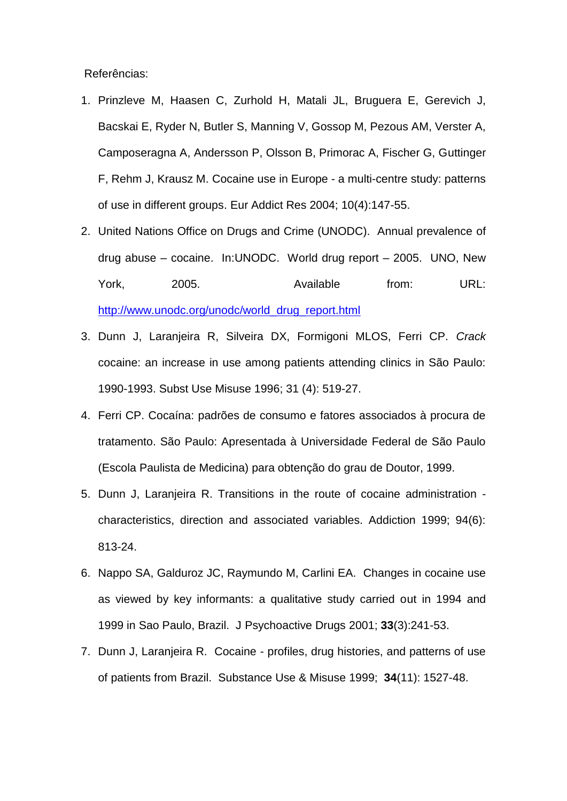Referências:

- 1. Prinzleve M, Haasen C, Zurhold H, Matali JL, Bruguera E, Gerevich J, Bacskai E, Ryder N, Butler S, Manning V, Gossop M, Pezous AM, Verster A, Camposeragna A, Andersson P, Olsson B, Primorac A, Fischer G, Guttinger F, Rehm J, Krausz M. Cocaine use in Europe - a multi-centre study: patterns of use in different groups. Eur Addict Res 2004; 10(4):147-55.
- 2. United Nations Office on Drugs and Crime (UNODC). Annual prevalence of drug abuse – cocaine. In:UNODC. World drug report – 2005. UNO, New York, 2005. Available from: URL: [http://www.unodc.org/unodc/world\\_drug\\_report.html](http://www.unodc.org/unodc/world_drug_report.html)
- 3. Dunn J, Laranjeira R, Silveira DX, Formigoni MLOS, Ferri CP. *Crack* cocaine: an increase in use among patients attending clinics in São Paulo: 1990-1993. Subst Use Misuse 1996; 31 (4): 519-27.
- 4. Ferri CP. Cocaína: padrões de consumo e fatores associados à procura de tratamento. São Paulo: Apresentada à Universidade Federal de São Paulo (Escola Paulista de Medicina) para obtenção do grau de Doutor, 1999.
- 5. Dunn J, Laranjeira R. Transitions in the route of cocaine administration characteristics, direction and associated variables. Addiction 1999; 94(6): 813-24.
- 6. Nappo SA, Galduroz JC, Raymundo M, Carlini EA. Changes in cocaine use as viewed by key informants: a qualitative study carried out in 1994 and 1999 in Sao Paulo, Brazil. J Psychoactive Drugs 2001; **33**(3):241-53.
- 7. Dunn J, Laranjeira R. Cocaine profiles, drug histories, and patterns of use of patients from Brazil. Substance Use & Misuse 1999; **34**(11): 1527-48.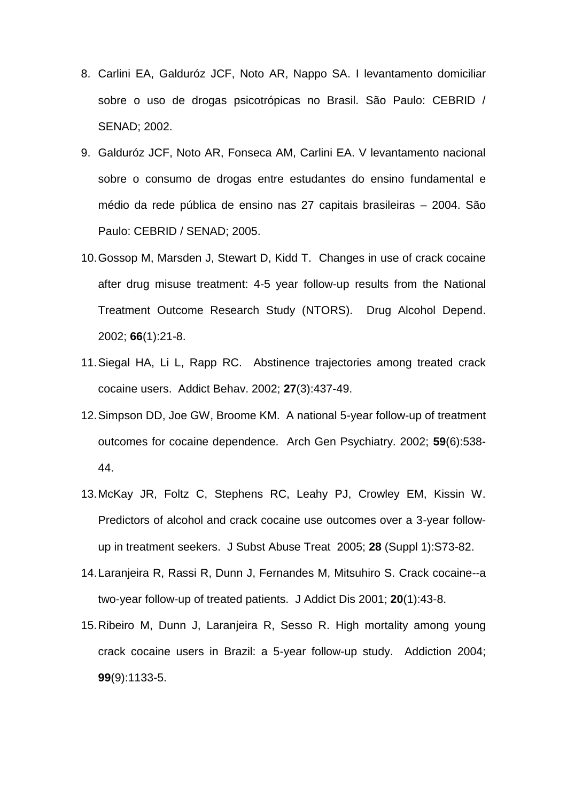- 8. Carlini EA, Galduróz JCF, Noto AR, Nappo SA. I levantamento domiciliar sobre o uso de drogas psicotrópicas no Brasil. São Paulo: CEBRID / SENAD; 2002.
- 9. Galduróz JCF, Noto AR, Fonseca AM, Carlini EA. V levantamento nacional sobre o consumo de drogas entre estudantes do ensino fundamental e médio da rede pública de ensino nas 27 capitais brasileiras – 2004. São Paulo: CEBRID / SENAD; 2005.
- 10.Gossop M, Marsden J, Stewart D, Kidd T. Changes in use of crack cocaine after drug misuse treatment: 4-5 year follow-up results from the National Treatment Outcome Research Study (NTORS). Drug Alcohol Depend. 2002; **66**(1):21-8.
- 11.Siegal HA, Li L, Rapp RC. Abstinence trajectories among treated crack cocaine users. Addict Behav. 2002; **27**(3):437-49.
- 12.Simpson DD, Joe GW, Broome KM. A national 5-year follow-up of treatment outcomes for cocaine dependence. Arch Gen Psychiatry. 2002; **59**(6):538- 44.
- 13.McKay JR, Foltz C, Stephens RC, Leahy PJ, Crowley EM, Kissin W. Predictors of alcohol and crack cocaine use outcomes over a 3-year followup in treatment seekers. J Subst Abuse Treat 2005; **28** (Suppl 1):S73-82.
- 14.Laranjeira R, Rassi R, Dunn J, Fernandes M, Mitsuhiro S. Crack cocaine--a two-year follow-up of treated patients. J Addict Dis 2001; **20**(1):43-8.
- 15.Ribeiro M, Dunn J, Laranjeira R, Sesso R. High mortality among young crack cocaine users in Brazil: a 5-year follow-up study. Addiction 2004; **99**(9):1133-5.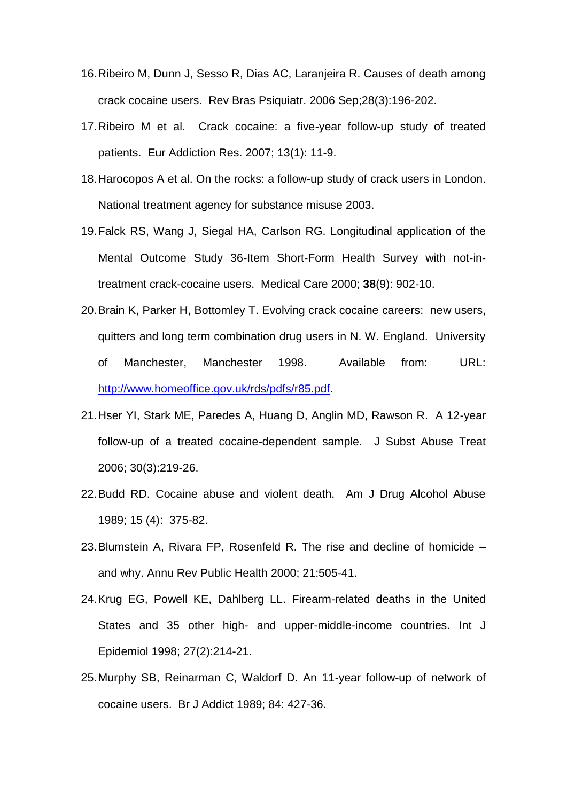- 16.Ribeiro M, Dunn J, Sesso R, Dias AC, Laranjeira R. Causes of death among crack cocaine users. Rev Bras Psiquiatr. 2006 Sep;28(3):196-202.
- 17.Ribeiro M et al. Crack cocaine: a five-year follow-up study of treated patients. Eur Addiction Res. 2007; 13(1): 11-9.
- 18.Harocopos A et al. On the rocks: a follow-up study of crack users in London. National treatment agency for substance misuse 2003.
- 19.Falck RS, Wang J, Siegal HA, Carlson RG. Longitudinal application of the Mental Outcome Study 36-Item Short-Form Health Survey with not-intreatment crack-cocaine users. Medical Care 2000; **38**(9): 902-10.
- 20.Brain K, Parker H, Bottomley T. Evolving crack cocaine careers: new users, quitters and long term combination drug users in N. W. England. University of Manchester, Manchester 1998. Available from: URL: [http://www.homeoffice.gov.uk/rds/pdfs/r85.pdf.](http://www.homeoffice.gov.uk/rds/pdfs/r85.pdf)
- 21.Hser YI, Stark ME, Paredes A, Huang D, Anglin MD, Rawson R. A 12-year follow-up of a treated cocaine-dependent sample. J Subst Abuse Treat 2006; 30(3):219-26.
- 22.Budd RD. Cocaine abuse and violent death. Am J Drug Alcohol Abuse 1989; 15 (4): 375-82.
- 23.Blumstein A, Rivara FP, Rosenfeld R. The rise and decline of homicide and why. Annu Rev Public Health 2000; 21:505-41.
- 24.Krug EG, Powell KE, Dahlberg LL. Firearm-related deaths in the United States and 35 other high- and upper-middle-income countries. Int J Epidemiol 1998; 27(2):214-21.
- 25.Murphy SB, Reinarman C, Waldorf D. An 11-year follow-up of network of cocaine users. Br J Addict 1989; 84: 427-36.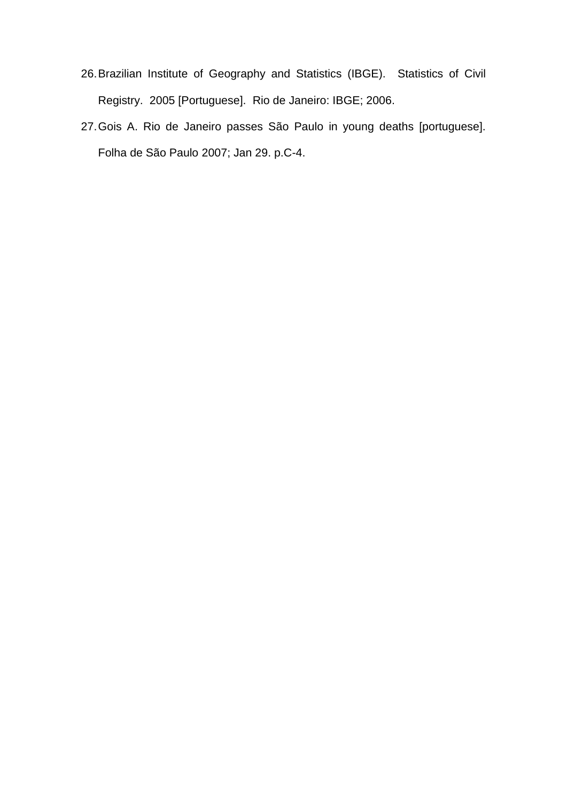- 26.Brazilian Institute of Geography and Statistics (IBGE). Statistics of Civil Registry. 2005 [Portuguese]. Rio de Janeiro: IBGE; 2006.
- 27.Gois A. Rio de Janeiro passes São Paulo in young deaths [portuguese]. Folha de São Paulo 2007; Jan 29. p.C-4.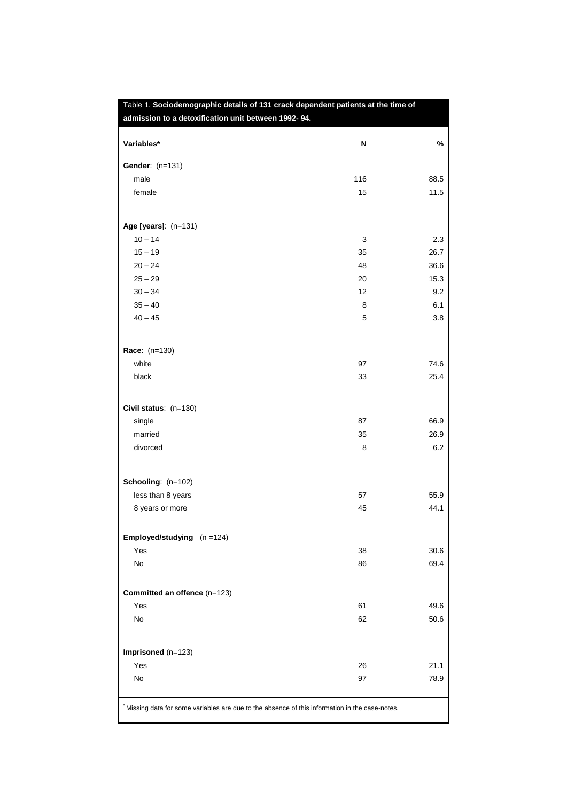| Variables*                           | N   | %    |
|--------------------------------------|-----|------|
| Gender: (n=131)                      |     |      |
| male                                 | 116 | 88.5 |
| female                               | 15  | 11.5 |
| Age [years]: (n=131)                 |     |      |
| $10 - 14$                            | 3   | 2.3  |
| $15 - 19$                            | 35  | 26.7 |
| $20 - 24$                            | 48  | 36.6 |
| $25 - 29$                            | 20  | 15.3 |
| $30 - 34$                            | 12  | 9.2  |
| $35 - 40$                            | 8   | 6.1  |
| $40 - 45$                            | 5   | 3.8  |
| Race: (n=130)                        |     |      |
| white                                | 97  | 74.6 |
| black                                | 33  | 25.4 |
| Civil status: (n=130)                |     |      |
| single                               | 87  | 66.9 |
| married                              | 35  | 26.9 |
| divorced                             | 8   | 6.2  |
| Schooling: (n=102)                   |     |      |
| less than 8 years                    | 57  | 55.9 |
| 8 years or more                      | 45  | 44.1 |
| <b>Employed/studying</b> $(n = 124)$ |     |      |
| Yes                                  | 38  | 30.6 |
| No                                   | 86  | 69.4 |
| Committed an offence (n=123)         |     |      |
| Yes                                  | 61  | 49.6 |
| No                                   | 62  | 50.6 |
| Imprisoned (n=123)                   |     |      |
| Yes                                  | 26  | 21.1 |
| No                                   | 97  | 78.9 |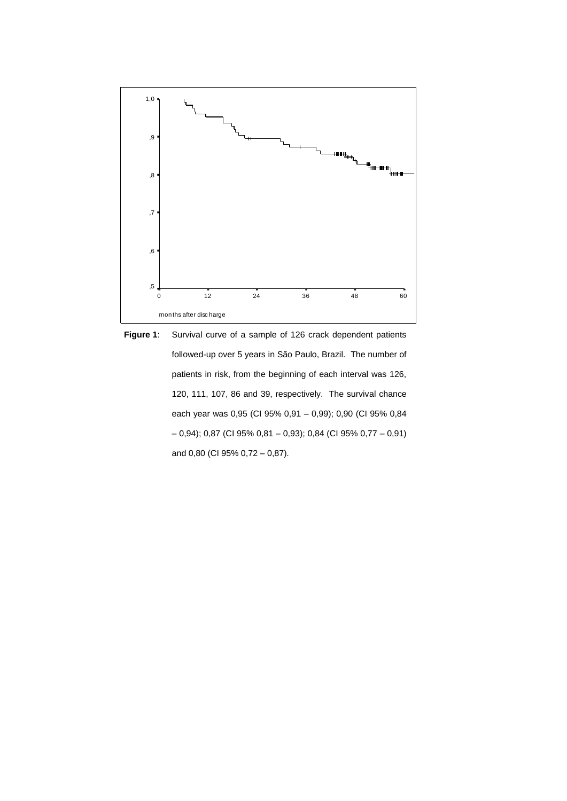

**Figure 1**: Survival curve of a sample of 126 crack dependent patients followed-up over 5 years in São Paulo, Brazil. The number of patients in risk, from the beginning of each interval was 126, 120, 111, 107, 86 and 39, respectively. The survival chance each year was 0,95 (CI 95% 0,91 – 0,99); 0,90 (CI 95% 0,84 – 0,94); 0,87 (CI 95% 0,81 – 0,93); 0,84 (CI 95% 0,77 – 0,91) and 0,80 (CI 95% 0,72 – 0,87).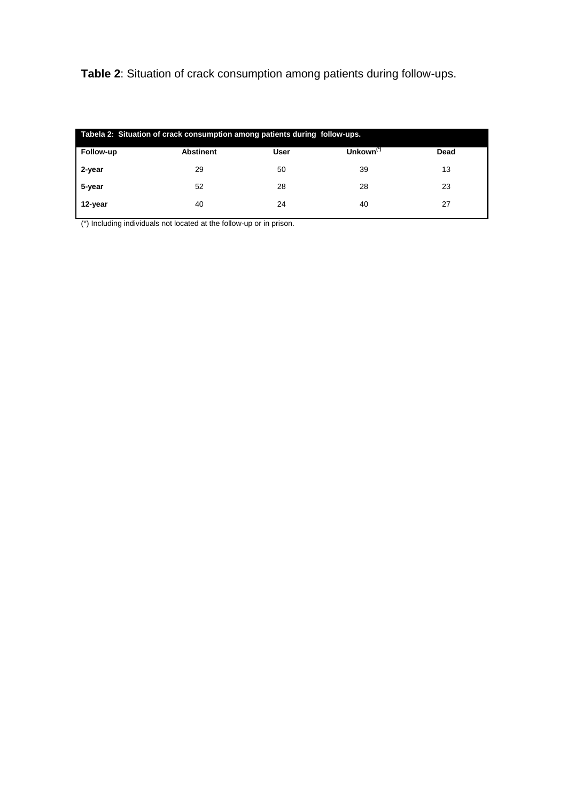**Table 2**: Situation of crack consumption among patients during follow-ups.

| Tabela 2: Situation of crack consumption among patients during follow-ups. |                  |             |              |      |  |
|----------------------------------------------------------------------------|------------------|-------------|--------------|------|--|
| Follow-up                                                                  | <b>Abstinent</b> | <b>User</b> | Unkown $(7)$ | Dead |  |
| 2-year                                                                     | 29               | 50          | 39           | 13   |  |
| 5-year                                                                     | 52               | 28          | 28           | 23   |  |
| 12-year                                                                    | 40               | 24          | 40           | 27   |  |

(\*) Including individuals not located at the follow-up or in prison.